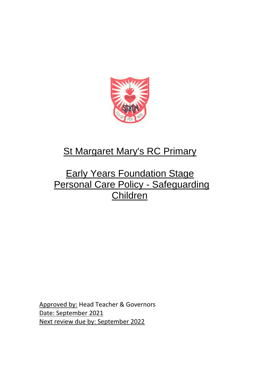

# **St Margaret Mary's RC Primary**

## **Early Years Foundation Stage** Personal Care Policy - Safeguarding Children

Approved by: Head Teacher & Governors Date: September 2021 Next review due by: September 2022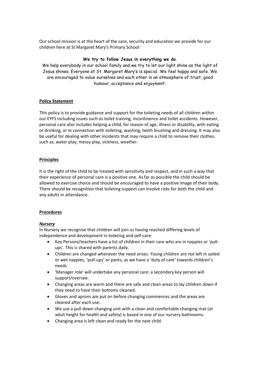Our school mission is at the heart of the care, security and education we provide for our children here at St Margaret Mary's Primary School:

#### **We try to follow Jesus in everything we do**.

We help everybody in our school family and we try to let our light shine as the light of Jesus shines. Everyone at St. Margaret Mary's is special. We feel happy and safe. We are encouraged to value ourselves and each other in an atmosphere of trust, good humour, acceptance and enjoyment.

#### **Policy Statement**

This policy is to provide guidance and support for the toileting needs of all children within our EYFS including issues such as toilet training, incontinence and toilet accidents. However, personal care also includes helping a child, for reason of age, illness or disability, with eating or drinking, or in connection with toileting, washing, teeth brushing and dressing. It may also be useful for dealing with other incidents that may require a child to remove their clothes, such as, water play, messy play, sickness, weather.

#### **Principles**

It is the right of the child to be treated with sensitivity and respect, and in such a way that their experience of personal care is a positive one. As far as possible the child should be allowed to exercise choice and should be encouraged to have a positive image of their body. There should be recognition that toileting support can involve risks for both the child and any adults in attendance.

#### **Procedures**

#### *Nursery*

In Nursery we recognise that children will join us having reached differing levels of independence and development in toileting and self-care:

- Key Persons/teachers have a list of children in their care who are in nappies or 'pullups'. This is shared with parents daily.
- Children are changed whenever the need arises. Young children are not left in soiled or wet nappies, 'pull-ups' or pants, as we have a 'duty of care' towards children's needs.
- 'Manager role' will undertake any personal care; a secondary key person will support/oversee.
- Changing areas are warm and there are safe and clean areas to lay children down if they need to have their bottoms cleaned.
- Gloves and aprons are put on before changing commences and the areas are cleaned after each use.
- We use a pull down changing unit with a clean and comfortable changing mat (at adult height for health and safety) is based in one of our nursery bathrooms.
- Changing area is left clean and ready for the next child.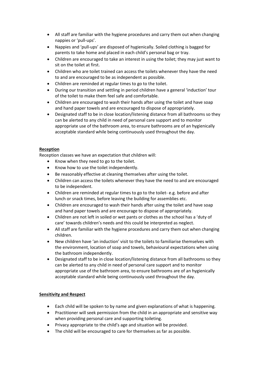- All staff are familiar with the hygiene procedures and carry them out when changing nappies or 'pull-ups'.
- Nappies and 'pull-ups' are disposed of hygienically. Soiled clothing is bagged for parents to take home and placed in each child's personal bag or tray.
- Children are encouraged to take an interest in using the toilet; they may just want to sit on the toilet at first.
- Children who are toilet trained can access the toilets whenever they have the need to and are encouraged to be as independent as possible.
- Children are reminded at regular times to go to the toilet.
- During our transition and settling in period children have a general 'induction' tour of the toilet to make them feel safe and comfortable.
- Children are encouraged to wash their hands after using the toilet and have soap and hand paper towels and are encouraged to dispose of appropriately.
- Designated staff to be in close location/listening distance from all bathrooms so they can be alerted to any child in need of personal care support and to monitor appropriate use of the bathroom area, to ensure bathrooms are of an hygienically acceptable standard while being continuously used throughout the day.

#### **Reception**

Reception classes we have an expectation that children will:

- Know when they need to go to the toilet.
- Know how to use the toilet independently.
- Be reasonably effective at cleaning themselves after using the toilet.
- Children can access the toilets whenever they have the need to and are encouraged to be independent.
- Children are reminded at regular times to go to the toilet- e.g. before and after lunch or snack times, before leaving the building for assemblies etc.
- Children are encouraged to wash their hands after using the toilet and have soap and hand paper towels and are encourage to dispose of appropriately.
- Children are not left in soiled or wet pants or clothes as the school has a 'duty of care' towards children's needs and this could be interpreted as neglect.
- All staff are familiar with the hygiene procedures and carry them out when changing children.
- New children have 'an induction' visit to the toilets to familiarise themselves with the environment, location of soap and towels, behavioural expectations when using the bathroom independently.
- Designated staff to be in close location/listening distance from all bathrooms so they can be alerted to any child in need of personal care support and to monitor appropriate use of the bathroom area, to ensure bathrooms are of an hygienically acceptable standard while being continuously used throughout the day.

#### **Sensitivity and Respect**

- Each child will be spoken to by name and given explanations of what is happening.
- Practitioner will seek permission from the child in an appropriate and sensitive way when providing personal care and supporting toileting.
- Privacy appropriate to the child's age and situation will be provided.
- The child will be encouraged to care for themselves as far as possible.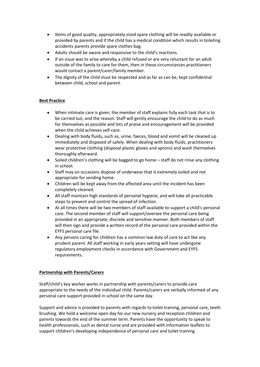- Items of good quality, appropriately sized spare clothing will be readily available or provided by parents and if the child has a medical condition which results in toileting accidents parents provide spare clothes bag.
- Adults should be aware and responsive to the child's reactions.
- If an issue was to arise whereby a child refused or are very reluctant for an adult outside of the family to care for them, then in these circumstances practitioners would contact a parent/carer/family member.
- The dignity of the child must be respected and as far as can be, kept confidential between child, school and parent.

### **Best Practice**

- When intimate care is given, the member of staff explains fully each task that is to be carried out, and the reason. Staff will gently encourage the child to do as much for themselves as possible and lots of praise and encouragement will be provided when the child achieves self-care.
- Dealing with body fluids**,** such as, urine, faeces, blood and vomit will be cleaned up immediately and disposed of safely. When dealing with body fluids, practitioners wear protective clothing (disposal plastic gloves and aprons) and wash themselves thoroughly afterward.
- Soiled children's clothing will be bagged to go home *–* staff do not rinse any clothing in school.
- Staff may on occasions dispose of underwear that is extremely soiled and not appropriate for sending home.
- Children will be kept away from the affected area until the incident has been completely cleaned.
- All staff maintain high standards of personal hygiene, and will take all practicable steps to prevent and control the spread of infection.
- At all times there will be two members of staff available to support a child's personal care. The second member of staff will support/oversee the personal care being provided in an appropriate, discrete and sensitive manner. Both members of staff will then sign and provide a written record of the personal care provided within the EYFS personal care file.
- Any persons caring for children has a common law duty of care to act like any prudent parent. All staff working in early years setting will have undergone regulatory employment checks in accordance with Government and EYFS requirements.

#### **Partnership with Parents/Carers**

Staff/child's key worker works in partnership with parents/carers to provide care appropriate to the needs of the individual child. Parents/carers are verbally informed of any personal care support provided in school on the same day.

Support and advice is provided to parents with regards to toilet training, personal care, teeth brushing. We hold a welcome open day for our new nursery and reception children and parents towards the end of the summer term. Parents have the opportunity to speak to health professionals, such as dental nurse and are provided with information leaflets to support children's developing independence of personal care and toilet training.